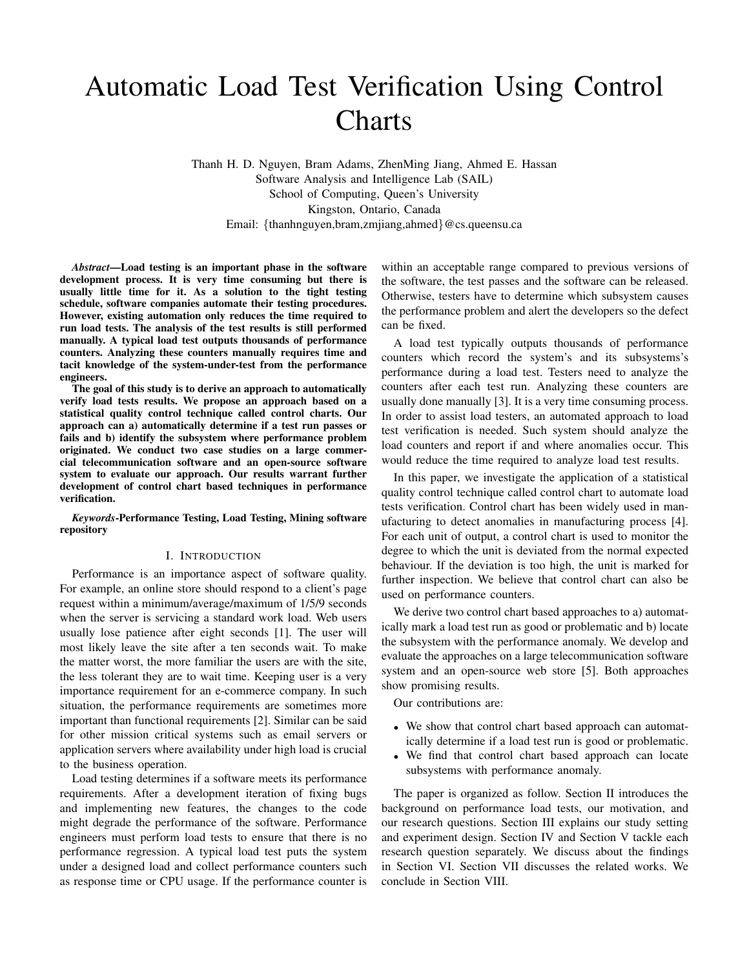# Automatic Load Test Verification Using Control **Charts**

Thanh H. D. Nguyen, Bram Adams, ZhenMing Jiang, Ahmed E. Hassan Software Analysis and Intelligence Lab (SAIL) School of Computing, Queen's University Kingston, Ontario, Canada Email: {thanhnguyen,bram,zmjiang,ahmed}@cs.queensu.ca

*Abstract*—Load testing is an important phase in the software development process. It is very time consuming but there is usually little time for it. As a solution to the tight testing schedule, software companies automate their testing procedures. However, existing automation only reduces the time required to run load tests. The analysis of the test results is still performed manually. A typical load test outputs thousands of performance counters. Analyzing these counters manually requires time and tacit knowledge of the system-under-test from the performance engineers.

The goal of this study is to derive an approach to automatically verify load tests results. We propose an approach based on a statistical quality control technique called control charts. Our approach can a) automatically determine if a test run passes or fails and b) identify the subsystem where performance problem originated. We conduct two case studies on a large commercial telecommunication software and an open-source software system to evaluate our approach. Our results warrant further development of control chart based techniques in performance verification.

*Keywords*-Performance Testing, Load Testing, Mining software repository

### I. INTRODUCTION

Performance is an importance aspect of software quality. For example, an online store should respond to a client's page request within a minimum/average/maximum of 1/5/9 seconds when the server is servicing a standard work load. Web users usually lose patience after eight seconds [1]. The user will most likely leave the site after a ten seconds wait. To make the matter worst, the more familiar the users are with the site, the less tolerant they are to wait time. Keeping user is a very importance requirement for an e-commerce company. In such situation, the performance requirements are sometimes more important than functional requirements [2]. Similar can be said for other mission critical systems such as email servers or application servers where availability under high load is crucial to the business operation.

Load testing determines if a software meets its performance requirements. After a development iteration of fixing bugs and implementing new features, the changes to the code might degrade the performance of the software. Performance engineers must perform load tests to ensure that there is no performance regression. A typical load test puts the system under a designed load and collect performance counters such as response time or CPU usage. If the performance counter is within an acceptable range compared to previous versions of the software, the test passes and the software can be released. Otherwise, testers have to determine which subsystem causes the performance problem and alert the developers so the defect can be fixed.

A load test typically outputs thousands of performance counters which record the system's and its subsystems's performance during a load test. Testers need to analyze the counters after each test run. Analyzing these counters are usually done manually [3]. It is a very time consuming process. In order to assist load testers, an automated approach to load test verification is needed. Such system should analyze the load counters and report if and where anomalies occur. This would reduce the time required to analyze load test results.

In this paper, we investigate the application of a statistical quality control technique called control chart to automate load tests verification. Control chart has been widely used in manufacturing to detect anomalies in manufacturing process [4]. For each unit of output, a control chart is used to monitor the degree to which the unit is deviated from the normal expected behaviour. If the deviation is too high, the unit is marked for further inspection. We believe that control chart can also be used on performance counters.

We derive two control chart based approaches to a) automatically mark a load test run as good or problematic and b) locate the subsystem with the performance anomaly. We develop and evaluate the approaches on a large telecommunication software system and an open-source web store [5]. Both approaches show promising results.

Our contributions are:

- We show that control chart based approach can automatically determine if a load test run is good or problematic.
- We find that control chart based approach can locate subsystems with performance anomaly.

The paper is organized as follow. Section II introduces the background on performance load tests, our motivation, and our research questions. Section III explains our study setting and experiment design. Section IV and Section V tackle each research question separately. We discuss about the findings in Section VI. Section VII discusses the related works. We conclude in Section VIII.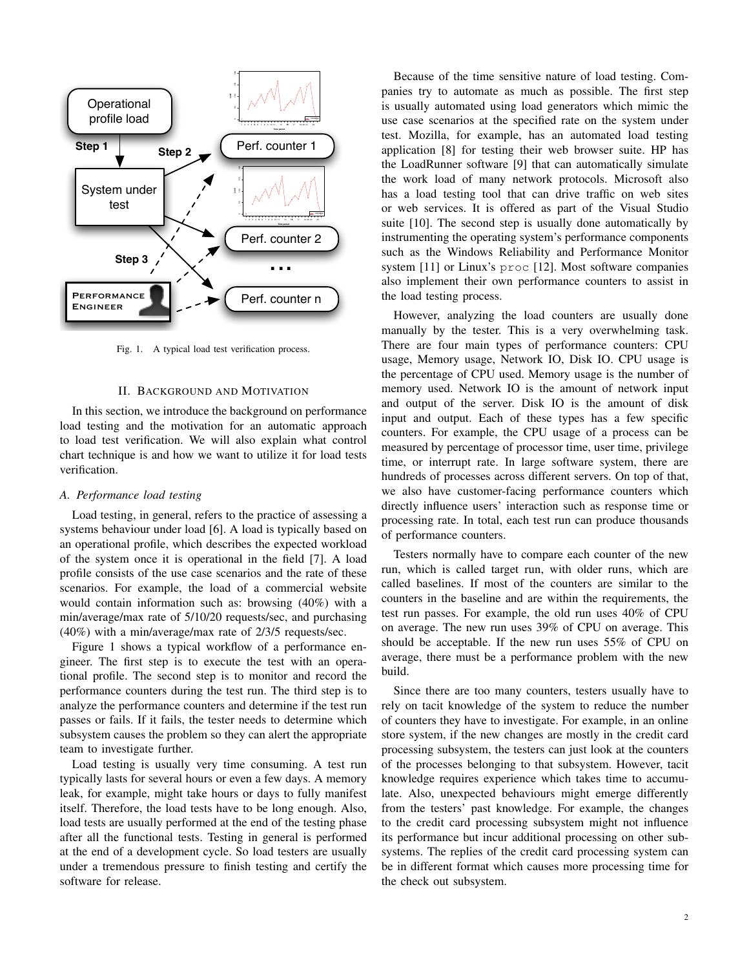

Fig. 1. A typical load test verification process.

## II. BACKGROUND AND MOTIVATION

In this section, we introduce the background on performance load testing and the motivation for an automatic approach to load test verification. We will also explain what control chart technique is and how we want to utilize it for load tests verification.

### *A. Performance load testing*

Load testing, in general, refers to the practice of assessing a systems behaviour under load [6]. A load is typically based on an operational profile, which describes the expected workload of the system once it is operational in the field [7]. A load profile consists of the use case scenarios and the rate of these scenarios. For example, the load of a commercial website would contain information such as: browsing (40%) with a min/average/max rate of 5/10/20 requests/sec, and purchasing (40%) with a min/average/max rate of 2/3/5 requests/sec.

Figure 1 shows a typical workflow of a performance engineer. The first step is to execute the test with an operational profile. The second step is to monitor and record the performance counters during the test run. The third step is to analyze the performance counters and determine if the test run passes or fails. If it fails, the tester needs to determine which subsystem causes the problem so they can alert the appropriate team to investigate further.

Load testing is usually very time consuming. A test run typically lasts for several hours or even a few days. A memory leak, for example, might take hours or days to fully manifest itself. Therefore, the load tests have to be long enough. Also, load tests are usually performed at the end of the testing phase after all the functional tests. Testing in general is performed at the end of a development cycle. So load testers are usually under a tremendous pressure to finish testing and certify the software for release.

Because of the time sensitive nature of load testing. Companies try to automate as much as possible. The first step is usually automated using load generators which mimic the use case scenarios at the specified rate on the system under test. Mozilla, for example, has an automated load testing application [8] for testing their web browser suite. HP has the LoadRunner software [9] that can automatically simulate the work load of many network protocols. Microsoft also has a load testing tool that can drive traffic on web sites or web services. It is offered as part of the Visual Studio suite [10]. The second step is usually done automatically by instrumenting the operating system's performance components such as the Windows Reliability and Performance Monitor system [11] or Linux's proc [12]. Most software companies also implement their own performance counters to assist in the load testing process.

However, analyzing the load counters are usually done manually by the tester. This is a very overwhelming task. There are four main types of performance counters: CPU usage, Memory usage, Network IO, Disk IO. CPU usage is the percentage of CPU used. Memory usage is the number of memory used. Network IO is the amount of network input and output of the server. Disk IO is the amount of disk input and output. Each of these types has a few specific counters. For example, the CPU usage of a process can be measured by percentage of processor time, user time, privilege time, or interrupt rate. In large software system, there are hundreds of processes across different servers. On top of that, we also have customer-facing performance counters which directly influence users' interaction such as response time or processing rate. In total, each test run can produce thousands of performance counters.

Testers normally have to compare each counter of the new run, which is called target run, with older runs, which are called baselines. If most of the counters are similar to the counters in the baseline and are within the requirements, the test run passes. For example, the old run uses 40% of CPU on average. The new run uses 39% of CPU on average. This should be acceptable. If the new run uses 55% of CPU on average, there must be a performance problem with the new build.

Since there are too many counters, testers usually have to rely on tacit knowledge of the system to reduce the number of counters they have to investigate. For example, in an online store system, if the new changes are mostly in the credit card processing subsystem, the testers can just look at the counters of the processes belonging to that subsystem. However, tacit knowledge requires experience which takes time to accumulate. Also, unexpected behaviours might emerge differently from the testers' past knowledge. For example, the changes to the credit card processing subsystem might not influence its performance but incur additional processing on other subsystems. The replies of the credit card processing system can be in different format which causes more processing time for the check out subsystem.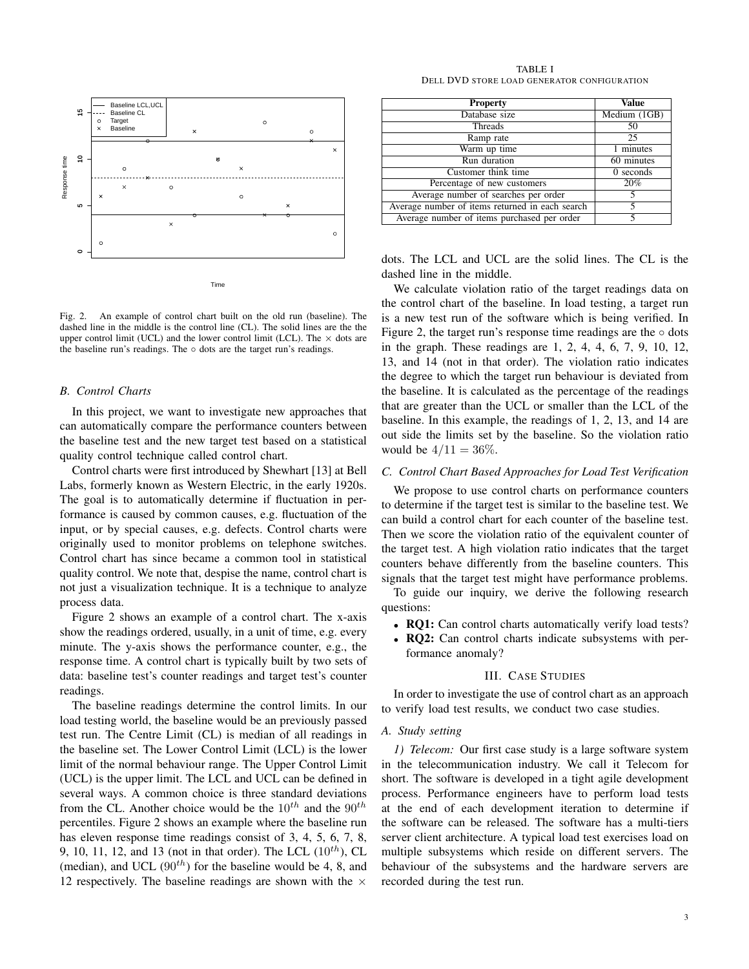

Fig. 2. An example of control chart built on the old run (baseline). The dashed line in the middle is the control line (CL). The solid lines are the the upper control limit (UCL) and the lower control limit (LCL). The  $\times$  dots are the baseline run's readings. The ◦ dots are the target run's readings.

## *B. Control Charts*

In this project, we want to investigate new approaches that can automatically compare the performance counters between the baseline test and the new target test based on a statistical quality control technique called control chart.

Control charts were first introduced by Shewhart [13] at Bell Labs, formerly known as Western Electric, in the early 1920s. The goal is to automatically determine if fluctuation in performance is caused by common causes, e.g. fluctuation of the input, or by special causes, e.g. defects. Control charts were originally used to monitor problems on telephone switches. Control chart has since became a common tool in statistical quality control. We note that, despise the name, control chart is not just a visualization technique. It is a technique to analyze process data.

Figure 2 shows an example of a control chart. The x-axis show the readings ordered, usually, in a unit of time, e.g. every minute. The y-axis shows the performance counter, e.g., the response time. A control chart is typically built by two sets of data: baseline test's counter readings and target test's counter readings.

The baseline readings determine the control limits. In our load testing world, the baseline would be an previously passed test run. The Centre Limit (CL) is median of all readings in the baseline set. The Lower Control Limit (LCL) is the lower limit of the normal behaviour range. The Upper Control Limit (UCL) is the upper limit. The LCL and UCL can be defined in several ways. A common choice is three standard deviations from the CL. Another choice would be the  $10^{th}$  and the  $90^{th}$ percentiles. Figure 2 shows an example where the baseline run has eleven response time readings consist of 3, 4, 5, 6, 7, 8, 9, 10, 11, 12, and 13 (not in that order). The LCL  $(10^{th})$ , CL (median), and UCL  $(90<sup>th</sup>)$  for the baseline would be 4, 8, and 12 respectively. The baseline readings are shown with the  $\times$ 

TABLE I DELL DVD STORE LOAD GENERATOR CONFIGURATION

| <b>Property</b>                                 | Value        |
|-------------------------------------------------|--------------|
| Database size                                   | Medium (1GB) |
| <b>Threads</b>                                  | 50           |
| Ramp rate                                       | 25           |
| Warm up time                                    | 1 minutes    |
| Run duration                                    | 60 minutes   |
| Customer think time                             | $0$ seconds  |
| Percentage of new customers                     | 20%          |
| Average number of searches per order            |              |
| Average number of items returned in each search | 5            |
| Average number of items purchased per order     |              |

dots. The LCL and UCL are the solid lines. The CL is the dashed line in the middle.

We calculate violation ratio of the target readings data on the control chart of the baseline. In load testing, a target run is a new test run of the software which is being verified. In Figure 2, the target run's response time readings are the  $\circ$  dots in the graph. These readings are 1, 2, 4, 4, 6, 7, 9, 10, 12, 13, and 14 (not in that order). The violation ratio indicates the degree to which the target run behaviour is deviated from the baseline. It is calculated as the percentage of the readings that are greater than the UCL or smaller than the LCL of the baseline. In this example, the readings of 1, 2, 13, and 14 are out side the limits set by the baseline. So the violation ratio would be  $4/11 = 36\%$ .

# *C. Control Chart Based Approaches for Load Test Verification*

We propose to use control charts on performance counters to determine if the target test is similar to the baseline test. We can build a control chart for each counter of the baseline test. Then we score the violation ratio of the equivalent counter of the target test. A high violation ratio indicates that the target counters behave differently from the baseline counters. This signals that the target test might have performance problems.

To guide our inquiry, we derive the following research questions:

- RO1: Can control charts automatically verify load tests?
- RQ2: Can control charts indicate subsystems with performance anomaly?

### III. CASE STUDIES

In order to investigate the use of control chart as an approach to verify load test results, we conduct two case studies.

#### *A. Study setting*

*1) Telecom:* Our first case study is a large software system in the telecommunication industry. We call it Telecom for short. The software is developed in a tight agile development process. Performance engineers have to perform load tests at the end of each development iteration to determine if the software can be released. The software has a multi-tiers server client architecture. A typical load test exercises load on multiple subsystems which reside on different servers. The behaviour of the subsystems and the hardware servers are recorded during the test run.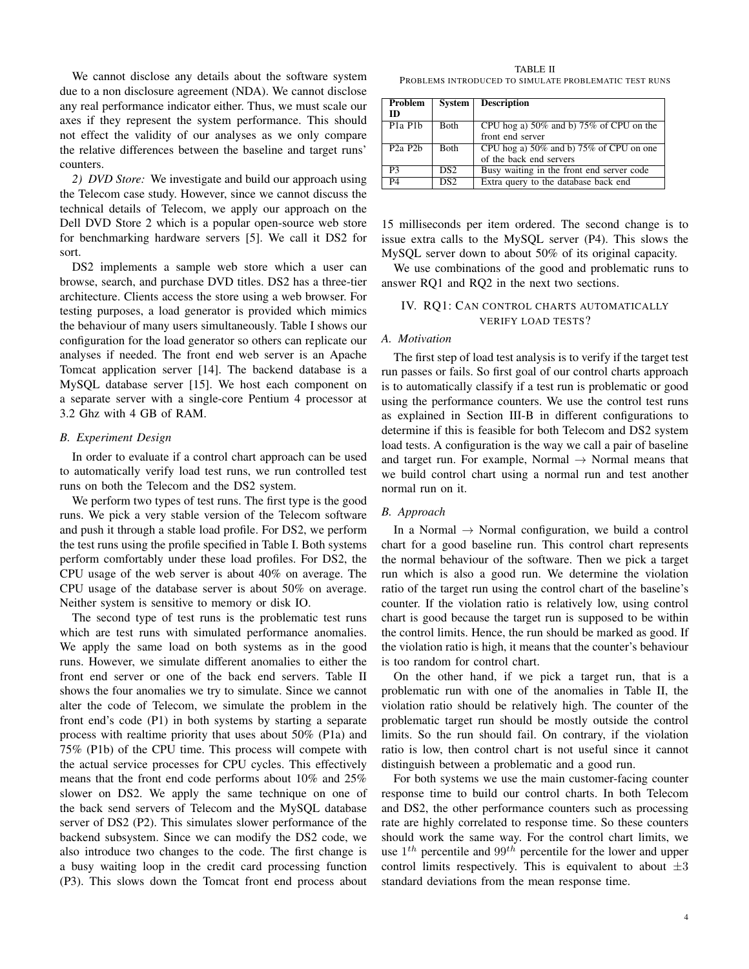We cannot disclose any details about the software system due to a non disclosure agreement (NDA). We cannot disclose any real performance indicator either. Thus, we must scale our axes if they represent the system performance. This should not effect the validity of our analyses as we only compare the relative differences between the baseline and target runs' counters.

*2) DVD Store:* We investigate and build our approach using the Telecom case study. However, since we cannot discuss the technical details of Telecom, we apply our approach on the Dell DVD Store 2 which is a popular open-source web store for benchmarking hardware servers [5]. We call it DS2 for sort.

DS2 implements a sample web store which a user can browse, search, and purchase DVD titles. DS2 has a three-tier architecture. Clients access the store using a web browser. For testing purposes, a load generator is provided which mimics the behaviour of many users simultaneously. Table I shows our configuration for the load generator so others can replicate our analyses if needed. The front end web server is an Apache Tomcat application server [14]. The backend database is a MySQL database server [15]. We host each component on a separate server with a single-core Pentium 4 processor at 3.2 Ghz with 4 GB of RAM.

#### *B. Experiment Design*

In order to evaluate if a control chart approach can be used to automatically verify load test runs, we run controlled test runs on both the Telecom and the DS2 system.

We perform two types of test runs. The first type is the good runs. We pick a very stable version of the Telecom software and push it through a stable load profile. For DS2, we perform the test runs using the profile specified in Table I. Both systems perform comfortably under these load profiles. For DS2, the CPU usage of the web server is about 40% on average. The CPU usage of the database server is about 50% on average. Neither system is sensitive to memory or disk IO.

The second type of test runs is the problematic test runs which are test runs with simulated performance anomalies. We apply the same load on both systems as in the good runs. However, we simulate different anomalies to either the front end server or one of the back end servers. Table II shows the four anomalies we try to simulate. Since we cannot alter the code of Telecom, we simulate the problem in the front end's code (P1) in both systems by starting a separate process with realtime priority that uses about 50% (P1a) and 75% (P1b) of the CPU time. This process will compete with the actual service processes for CPU cycles. This effectively means that the front end code performs about 10% and 25% slower on DS2. We apply the same technique on one of the back send servers of Telecom and the MySQL database server of DS2 (P2). This simulates slower performance of the backend subsystem. Since we can modify the DS2 code, we also introduce two changes to the code. The first change is a busy waiting loop in the credit card processing function (P3). This slows down the Tomcat front end process about

TABLE II PROBLEMS INTRODUCED TO SIMULATE PROBLEMATIC TEST RUNS

| Problem                           | System          | <b>Description</b>                            |
|-----------------------------------|-----------------|-----------------------------------------------|
| ID                                |                 |                                               |
| P <sub>1</sub> a P <sub>1</sub> b | <b>Both</b>     | CPU hog a) $50\%$ and b) $75\%$ of CPU on the |
|                                   |                 | front end server                              |
| P2a P2b                           | <b>Both</b>     | CPU hog a) 50% and b) 75% of CPU on one       |
|                                   |                 | of the back end servers                       |
| P3                                | DS <sub>2</sub> | Busy waiting in the front end server code     |
| P <sub>4</sub>                    | DS <sub>2</sub> | Extra query to the database back end          |

15 milliseconds per item ordered. The second change is to issue extra calls to the MySQL server (P4). This slows the MySQL server down to about 50% of its original capacity.

We use combinations of the good and problematic runs to answer RQ1 and RQ2 in the next two sections.

## IV. RQ1: CAN CONTROL CHARTS AUTOMATICALLY VERIFY LOAD TESTS?

#### *A. Motivation*

The first step of load test analysis is to verify if the target test run passes or fails. So first goal of our control charts approach is to automatically classify if a test run is problematic or good using the performance counters. We use the control test runs as explained in Section III-B in different configurations to determine if this is feasible for both Telecom and DS2 system load tests. A configuration is the way we call a pair of baseline and target run. For example, Normal  $\rightarrow$  Normal means that we build control chart using a normal run and test another normal run on it.

### *B. Approach*

In a Normal  $\rightarrow$  Normal configuration, we build a control chart for a good baseline run. This control chart represents the normal behaviour of the software. Then we pick a target run which is also a good run. We determine the violation ratio of the target run using the control chart of the baseline's counter. If the violation ratio is relatively low, using control chart is good because the target run is supposed to be within the control limits. Hence, the run should be marked as good. If the violation ratio is high, it means that the counter's behaviour is too random for control chart.

On the other hand, if we pick a target run, that is a problematic run with one of the anomalies in Table II, the violation ratio should be relatively high. The counter of the problematic target run should be mostly outside the control limits. So the run should fail. On contrary, if the violation ratio is low, then control chart is not useful since it cannot distinguish between a problematic and a good run.

For both systems we use the main customer-facing counter response time to build our control charts. In both Telecom and DS2, the other performance counters such as processing rate are highly correlated to response time. So these counters should work the same way. For the control chart limits, we use  $1^{th}$  percentile and  $99^{th}$  percentile for the lower and upper control limits respectively. This is equivalent to about  $\pm 3$ standard deviations from the mean response time.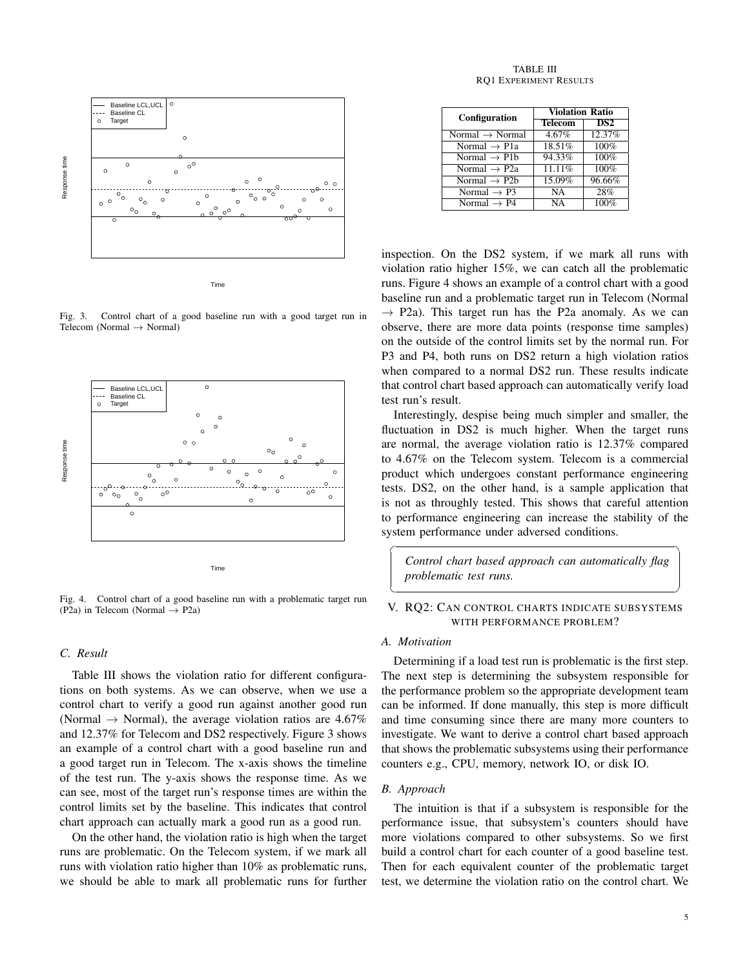

Fig. 3. Control chart of a good baseline run with a good target run in Telecom (Normal  $\rightarrow$  Normal)



Fig. 4. Control chart of a good baseline run with a problematic target run (P2a) in Telecom (Normal  $\rightarrow$  P2a)

# *C. Result*

Table III shows the violation ratio for different configurations on both systems. As we can observe, when we use a control chart to verify a good run against another good run (Normal  $\rightarrow$  Normal), the average violation ratios are 4.67% and 12.37% for Telecom and DS2 respectively. Figure 3 shows an example of a control chart with a good baseline run and a good target run in Telecom. The x-axis shows the timeline of the test run. The y-axis shows the response time. As we can see, most of the target run's response times are within the control limits set by the baseline. This indicates that control chart approach can actually mark a good run as a good run.

On the other hand, the violation ratio is high when the target runs are problematic. On the Telecom system, if we mark all runs with violation ratio higher than 10% as problematic runs, we should be able to mark all problematic runs for further

TABLE III RQ1 EXPERIMENT RESULTS

| Configuration               | <b>Violation Ratio</b> |                 |  |  |
|-----------------------------|------------------------|-----------------|--|--|
|                             | <b>Telecom</b>         | DS <sub>2</sub> |  |  |
| Normal $\rightarrow$ Normal | 4.67%                  | 12.37%          |  |  |
| Normal $\rightarrow$ P1a    | 18.51%                 | 100%            |  |  |
| Normal $\rightarrow$ P1b    | 94.33%                 | 100%            |  |  |
| Normal $\rightarrow$ P2a    | 11.11%                 | 100%            |  |  |
| Normal $\rightarrow$ P2b    | 15.09%                 | 96.66%          |  |  |
| Normal $\rightarrow$ P3     | <b>NA</b>              | 28%             |  |  |
| Normal $\rightarrow$ P4     | <b>NA</b>              | 100%            |  |  |

inspection. On the DS2 system, if we mark all runs with violation ratio higher 15%, we can catch all the problematic runs. Figure 4 shows an example of a control chart with a good baseline run and a problematic target run in Telecom (Normal  $\rightarrow$  P2a). This target run has the P2a anomaly. As we can observe, there are more data points (response time samples) on the outside of the control limits set by the normal run. For P3 and P4, both runs on DS2 return a high violation ratios when compared to a normal DS2 run. These results indicate that control chart based approach can automatically verify load test run's result.

Interestingly, despise being much simpler and smaller, the fluctuation in DS2 is much higher. When the target runs are normal, the average violation ratio is 12.37% compared to 4.67% on the Telecom system. Telecom is a commercial product which undergoes constant performance engineering tests. DS2, on the other hand, is a sample application that is not as throughly tested. This shows that careful attention to performance engineering can increase the stability of the system performance under adversed conditions.

*Control chart based approach can automatically flag problematic test runs.*

# V. RQ2: CAN CONTROL CHARTS INDICATE SUBSYSTEMS WITH PERFORMANCE PROBLEM?

#### *A. Motivation*

 $\overline{a}$ 

✝

Determining if a load test run is problematic is the first step. The next step is determining the subsystem responsible for the performance problem so the appropriate development team can be informed. If done manually, this step is more difficult and time consuming since there are many more counters to investigate. We want to derive a control chart based approach that shows the problematic subsystems using their performance counters e.g., CPU, memory, network IO, or disk IO.

# *B. Approach*

The intuition is that if a subsystem is responsible for the performance issue, that subsystem's counters should have more violations compared to other subsystems. So we first build a control chart for each counter of a good baseline test. Then for each equivalent counter of the problematic target test, we determine the violation ratio on the control chart. We

5

☎

✆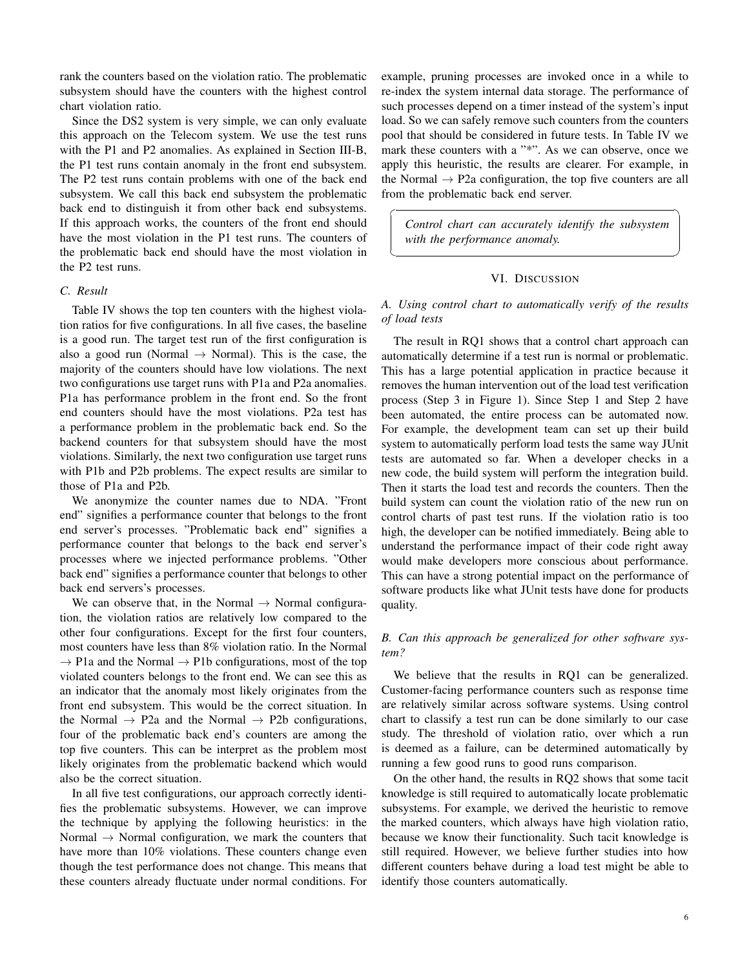rank the counters based on the violation ratio. The problematic subsystem should have the counters with the highest control chart violation ratio.

Since the DS2 system is very simple, we can only evaluate this approach on the Telecom system. We use the test runs with the P1 and P2 anomalies. As explained in Section III-B, the P1 test runs contain anomaly in the front end subsystem. The P2 test runs contain problems with one of the back end subsystem. We call this back end subsystem the problematic back end to distinguish it from other back end subsystems. If this approach works, the counters of the front end should have the most violation in the P1 test runs. The counters of the problematic back end should have the most violation in the P2 test runs.

## *C. Result*

Table IV shows the top ten counters with the highest violation ratios for five configurations. In all five cases, the baseline is a good run. The target test run of the first configuration is also a good run (Normal  $\rightarrow$  Normal). This is the case, the majority of the counters should have low violations. The next two configurations use target runs with P1a and P2a anomalies. P1a has performance problem in the front end. So the front end counters should have the most violations. P2a test has a performance problem in the problematic back end. So the backend counters for that subsystem should have the most violations. Similarly, the next two configuration use target runs with P1b and P2b problems. The expect results are similar to those of P1a and P2b.

We anonymize the counter names due to NDA. "Front end" signifies a performance counter that belongs to the front end server's processes. "Problematic back end" signifies a performance counter that belongs to the back end server's processes where we injected performance problems. "Other back end" signifies a performance counter that belongs to other back end servers's processes.

We can observe that, in the Normal  $\rightarrow$  Normal configuration, the violation ratios are relatively low compared to the other four configurations. Except for the first four counters, most counters have less than 8% violation ratio. In the Normal  $\rightarrow$  P1a and the Normal  $\rightarrow$  P1b configurations, most of the top violated counters belongs to the front end. We can see this as an indicator that the anomaly most likely originates from the front end subsystem. This would be the correct situation. In the Normal  $\rightarrow$  P2a and the Normal  $\rightarrow$  P2b configurations, four of the problematic back end's counters are among the top five counters. This can be interpret as the problem most likely originates from the problematic backend which would also be the correct situation.

In all five test configurations, our approach correctly identifies the problematic subsystems. However, we can improve the technique by applying the following heuristics: in the Normal  $\rightarrow$  Normal configuration, we mark the counters that have more than 10% violations. These counters change even though the test performance does not change. This means that these counters already fluctuate under normal conditions. For example, pruning processes are invoked once in a while to re-index the system internal data storage. The performance of such processes depend on a timer instead of the system's input load. So we can safely remove such counters from the counters pool that should be considered in future tests. In Table IV we mark these counters with a "\*". As we can observe, once we apply this heuristic, the results are clearer. For example, in the Normal  $\rightarrow$  P2a configuration, the top five counters are all from the problematic back end server.

*Control chart can accurately identify the subsystem with the performance anomaly.*

 $\overline{a}$ 

✝

# VI. DISCUSSION

# *A. Using control chart to automatically verify of the results of load tests*

The result in RQ1 shows that a control chart approach can automatically determine if a test run is normal or problematic. This has a large potential application in practice because it removes the human intervention out of the load test verification process (Step 3 in Figure 1). Since Step 1 and Step 2 have been automated, the entire process can be automated now. For example, the development team can set up their build system to automatically perform load tests the same way JUnit tests are automated so far. When a developer checks in a new code, the build system will perform the integration build. Then it starts the load test and records the counters. Then the build system can count the violation ratio of the new run on control charts of past test runs. If the violation ratio is too high, the developer can be notified immediately. Being able to understand the performance impact of their code right away would make developers more conscious about performance. This can have a strong potential impact on the performance of software products like what JUnit tests have done for products quality.

# *B. Can this approach be generalized for other software system?*

We believe that the results in RQ1 can be generalized. Customer-facing performance counters such as response time are relatively similar across software systems. Using control chart to classify a test run can be done similarly to our case study. The threshold of violation ratio, over which a run is deemed as a failure, can be determined automatically by running a few good runs to good runs comparison.

On the other hand, the results in RQ2 shows that some tacit knowledge is still required to automatically locate problematic subsystems. For example, we derived the heuristic to remove the marked counters, which always have high violation ratio, because we know their functionality. Such tacit knowledge is still required. However, we believe further studies into how different counters behave during a load test might be able to identify those counters automatically.

☎

✆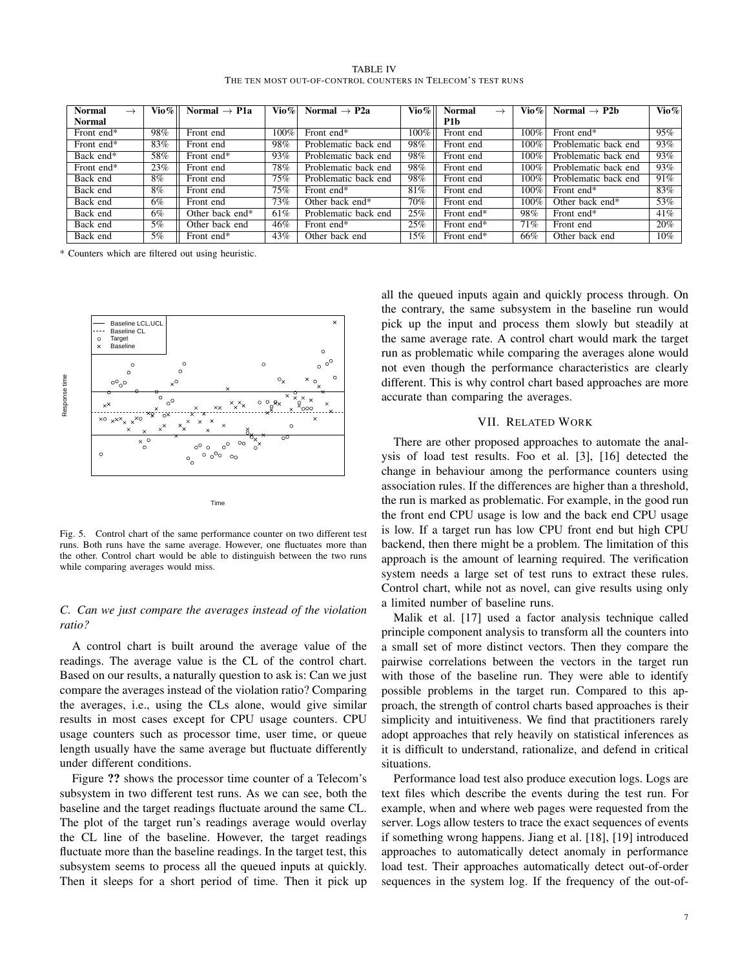| <b>TABLE IV</b> |                                                             |  |  |  |  |  |  |
|-----------------|-------------------------------------------------------------|--|--|--|--|--|--|
|                 | THE TEN MOST OUT-OF-CONTROL COUNTERS IN TELECOM'S TEST RUNS |  |  |  |  |  |  |

| <b>Normal</b><br>$\rightarrow$ | Vio% | Normal $\rightarrow$ P1a | $V$ io $%$ | Normal $\rightarrow$ P2a | Vio%    | Normal<br>$\rightarrow$ | Vio% | Normal $\rightarrow$ P2b | $V$ io $%$ |
|--------------------------------|------|--------------------------|------------|--------------------------|---------|-------------------------|------|--------------------------|------------|
| <b>Normal</b>                  |      |                          |            |                          |         | P <sub>1</sub> b        |      |                          |            |
| Front end*                     | 98%  | Front end                | $100\%$    | Front end*               | $100\%$ | Front end               | 100% | Front end*               | 95%        |
| Front end*                     | 83%  | Front end                | 98%        | Problematic back end     | 98%     | Front end               | 100% | Problematic back end     | 93%        |
| Back end*                      | 58%  | Front end*               | 93%        | Problematic back end     | 98%     | Front end               | 100% | Problematic back end     | 93%        |
| Front end*                     | 23%  | Front end                | 78%        | Problematic back end     | 98%     | Front end               | 100% | Problematic back end     | 93%        |
| Back end                       | 8%   | Front end                | 75%        | Problematic back end     | 98%     | Front end               | 100% | Problematic back end     | 91%        |
| Back end                       | 8%   | Front end                | 75%        | Front end*               | 81%     | Front end               | 100% | Front end*               | 83%        |
| Back end                       | 6%   | Front end                | 73%        | Other back end*          | 70%     | Front end               | 100% | Other back end*          | 53%        |
| Back end                       | 6%   | Other back end*          | 61%        | Problematic back end     | 25%     | Front end*              | 98%  | Front end*               | 41%        |
| Back end                       | 5%   | Other back end           | 46%        | Front end*               | 25%     | Front end*              | 71%  | Front end                | 20%        |
| Back end                       | 5%   | Front end*               | 43%        | Other back end           | 15%     | Front end*              | 66%  | Other back end           | 10%        |

\* Counters which are filtered out using heuristic.



Fig. 5. Control chart of the same performance counter on two different test runs. Both runs have the same average. However, one fluctuates more than the other. Control chart would be able to distinguish between the two runs while comparing averages would miss.

# *C. Can we just compare the averages instead of the violation ratio?*

A control chart is built around the average value of the readings. The average value is the CL of the control chart. Based on our results, a naturally question to ask is: Can we just compare the averages instead of the violation ratio? Comparing the averages, i.e., using the CLs alone, would give similar results in most cases except for CPU usage counters. CPU usage counters such as processor time, user time, or queue length usually have the same average but fluctuate differently under different conditions.

Figure ?? shows the processor time counter of a Telecom's subsystem in two different test runs. As we can see, both the baseline and the target readings fluctuate around the same CL. The plot of the target run's readings average would overlay the CL line of the baseline. However, the target readings fluctuate more than the baseline readings. In the target test, this subsystem seems to process all the queued inputs at quickly. Then it sleeps for a short period of time. Then it pick up all the queued inputs again and quickly process through. On the contrary, the same subsystem in the baseline run would pick up the input and process them slowly but steadily at the same average rate. A control chart would mark the target run as problematic while comparing the averages alone would not even though the performance characteristics are clearly different. This is why control chart based approaches are more accurate than comparing the averages.

#### VII. RELATED WORK

There are other proposed approaches to automate the analysis of load test results. Foo et al. [3], [16] detected the change in behaviour among the performance counters using association rules. If the differences are higher than a threshold, the run is marked as problematic. For example, in the good run the front end CPU usage is low and the back end CPU usage is low. If a target run has low CPU front end but high CPU backend, then there might be a problem. The limitation of this approach is the amount of learning required. The verification system needs a large set of test runs to extract these rules. Control chart, while not as novel, can give results using only a limited number of baseline runs.

Malik et al. [17] used a factor analysis technique called principle component analysis to transform all the counters into a small set of more distinct vectors. Then they compare the pairwise correlations between the vectors in the target run with those of the baseline run. They were able to identify possible problems in the target run. Compared to this approach, the strength of control charts based approaches is their simplicity and intuitiveness. We find that practitioners rarely adopt approaches that rely heavily on statistical inferences as it is difficult to understand, rationalize, and defend in critical situations.

Performance load test also produce execution logs. Logs are text files which describe the events during the test run. For example, when and where web pages were requested from the server. Logs allow testers to trace the exact sequences of events if something wrong happens. Jiang et al. [18], [19] introduced approaches to automatically detect anomaly in performance load test. Their approaches automatically detect out-of-order sequences in the system log. If the frequency of the out-of